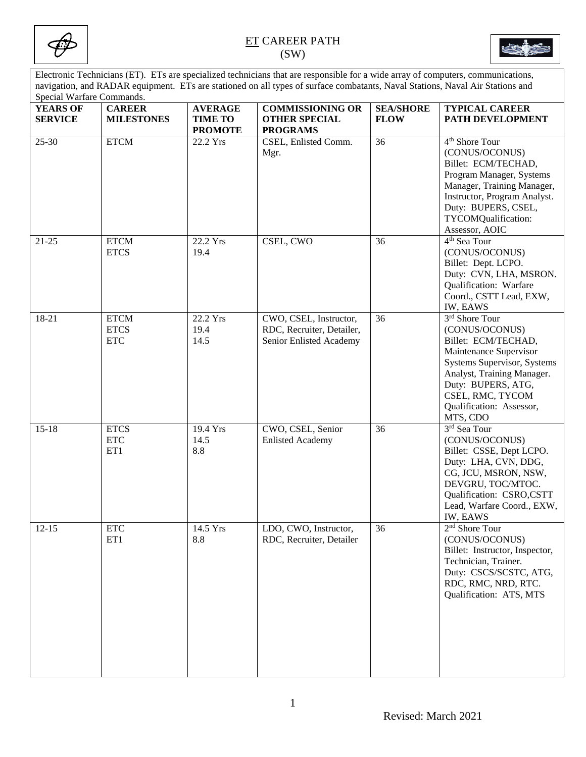



Electronic Technicians (ET). ETs are specialized technicians that are responsible for a wide array of computers, communications, navigation, and RADAR equipment. ETs are stationed on all types of surface combatants, Naval Stations, Naval Air Stations and Special Warfare Commands.

| $\beta$<br><b>YEARS OF</b> | <b>CAREER</b>                            | <b>AVERAGE</b>                   | <b>COMMISSIONING OR</b>                                                        | <b>SEA/SHORE</b> | <b>TYPICAL CAREER</b>                                                                                                                                                                                                            |
|----------------------------|------------------------------------------|----------------------------------|--------------------------------------------------------------------------------|------------------|----------------------------------------------------------------------------------------------------------------------------------------------------------------------------------------------------------------------------------|
| <b>SERVICE</b>             | <b>MILESTONES</b>                        | <b>TIME TO</b><br><b>PROMOTE</b> | <b>OTHER SPECIAL</b><br><b>PROGRAMS</b>                                        | <b>FLOW</b>      | PATH DEVELOPMENT                                                                                                                                                                                                                 |
| 25-30                      | <b>ETCM</b>                              | 22.2 Yrs                         | CSEL, Enlisted Comm.<br>Mgr.                                                   | 36               | 4 <sup>th</sup> Shore Tour<br>(CONUS/OCONUS)<br>Billet: ECM/TECHAD,<br>Program Manager, Systems<br>Manager, Training Manager,<br>Instructor, Program Analyst.<br>Duty: BUPERS, CSEL,<br>TYCOMQualification:<br>Assessor, AOIC    |
| $21 - 25$                  | <b>ETCM</b><br><b>ETCS</b>               | 22.2 Yrs<br>19.4                 | CSEL, CWO                                                                      | 36               | 4 <sup>th</sup> Sea Tour<br>(CONUS/OCONUS)<br>Billet: Dept. LCPO.<br>Duty: CVN, LHA, MSRON.<br>Qualification: Warfare<br>Coord., CSTT Lead, EXW,<br><b>IW, EAWS</b>                                                              |
| 18-21                      | <b>ETCM</b><br><b>ETCS</b><br><b>ETC</b> | 22.2 Yrs<br>19.4<br>14.5         | CWO, CSEL, Instructor,<br>RDC, Recruiter, Detailer,<br>Senior Enlisted Academy | 36               | 3rd Shore Tour<br>(CONUS/OCONUS)<br>Billet: ECM/TECHAD,<br>Maintenance Supervisor<br>Systems Supervisor, Systems<br>Analyst, Training Manager.<br>Duty: BUPERS, ATG,<br>CSEL, RMC, TYCOM<br>Qualification: Assessor,<br>MTS, CDO |
| $15 - 18$                  | <b>ETCS</b><br><b>ETC</b><br>ET1         | 19.4 Yrs<br>14.5<br>8.8          | CWO, CSEL, Senior<br><b>Enlisted Academy</b>                                   | 36               | 3rd Sea Tour<br>(CONUS/OCONUS)<br>Billet: CSSE, Dept LCPO.<br>Duty: LHA, CVN, DDG,<br>CG, JCU, MSRON, NSW,<br>DEVGRU, TOC/MTOC.<br>Qualification: CSRO,CSTT<br>Lead, Warfare Coord., EXW,<br>IW, EAWS                            |
| $12-15$                    | $\ensuremath{\text{ETC}}$<br>ET1         | $14.5$ Yrs<br>8.8                | LDO, CWO, Instructor,<br>RDC, Recruiter, Detailer                              | $\overline{36}$  | 2 <sup>nd</sup> Shore Tour<br>(CONUS/OCONUS)<br>Billet: Instructor, Inspector,<br>Technician, Trainer.<br>Duty: CSCS/SCSTC, ATG,<br>RDC, RMC, NRD, RTC.<br>Qualification: ATS, MTS                                               |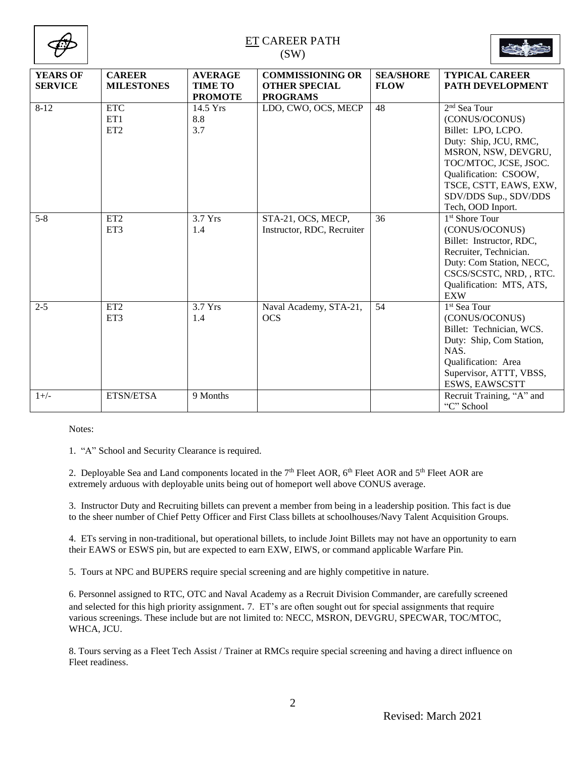

| <b>YEARS OF</b><br><b>SERVICE</b> | <b>CAREER</b><br><b>MILESTONES</b>   | <b>AVERAGE</b><br><b>TIME TO</b><br><b>PROMOTE</b> | <b>COMMISSIONING OR</b><br><b>OTHER SPECIAL</b><br><b>PROGRAMS</b> | <b>SEA/SHORE</b><br><b>FLOW</b> | <b>TYPICAL CAREER</b><br>PATH DEVELOPMENT                                                                                                                                                                                                  |
|-----------------------------------|--------------------------------------|----------------------------------------------------|--------------------------------------------------------------------|---------------------------------|--------------------------------------------------------------------------------------------------------------------------------------------------------------------------------------------------------------------------------------------|
| $8 - 12$                          | <b>ETC</b><br>ET1<br>ET <sub>2</sub> | 14.5 Yrs<br>8.8<br>3.7                             | LDO, CWO, OCS, MECP                                                | 48                              | 2 <sup>nd</sup> Sea Tour<br>(CONUS/OCONUS)<br>Billet: LPO, LCPO.<br>Duty: Ship, JCU, RMC,<br>MSRON, NSW, DEVGRU,<br>TOC/MTOC, JCSE, JSOC.<br>Qualification: CSOOW,<br>TSCE, CSTT, EAWS, EXW,<br>SDV/DDS Sup., SDV/DDS<br>Tech, OOD Inport. |
| $5 - 8$                           | ET <sub>2</sub><br>ET3               | 3.7 Yrs<br>1.4                                     | STA-21, OCS, MECP,<br>Instructor, RDC, Recruiter                   | 36                              | 1 <sup>st</sup> Shore Tour<br>(CONUS/OCONUS)<br>Billet: Instructor, RDC,<br>Recruiter, Technician.<br>Duty: Com Station, NECC,<br>CSCS/SCSTC, NRD, , RTC.<br>Qualification: MTS, ATS,<br><b>EXW</b>                                        |
| $2 - 5$                           | ET <sub>2</sub><br>ET3               | 3.7 Yrs<br>1.4                                     | Naval Academy, STA-21,<br>OCS                                      | 54                              | 1 <sup>st</sup> Sea Tour<br>(CONUS/OCONUS)<br>Billet: Technician, WCS.<br>Duty: Ship, Com Station,<br>NAS.<br>Qualification: Area<br>Supervisor, ATTT, VBSS,<br>ESWS, EAWSCSTT                                                             |
| $1+/-$                            | ETSN/ETSA                            | 9 Months                                           |                                                                    |                                 | Recruit Training, "A" and<br>"C" School                                                                                                                                                                                                    |

Notes:

1. "A" School and Security Clearance is required.

2. Deployable Sea and Land components located in the  $7<sup>th</sup>$  Fleet AOR,  $6<sup>th</sup>$  Fleet AOR and  $5<sup>th</sup>$  Fleet AOR are extremely arduous with deployable units being out of homeport well above CONUS average.

3. Instructor Duty and Recruiting billets can prevent a member from being in a leadership position. This fact is due to the sheer number of Chief Petty Officer and First Class billets at schoolhouses/Navy Talent Acquisition Groups.

4. ETs serving in non-traditional, but operational billets, to include Joint Billets may not have an opportunity to earn their EAWS or ESWS pin, but are expected to earn EXW, EIWS, or command applicable Warfare Pin.

5. Tours at NPC and BUPERS require special screening and are highly competitive in nature.

6. Personnel assigned to RTC, OTC and Naval Academy as a Recruit Division Commander, are carefully screened and selected for this high priority assignment. 7. ET's are often sought out for special assignments that require various screenings. These include but are not limited to: NECC, MSRON, DEVGRU, SPECWAR, TOC/MTOC, WHCA, JCU.

8. Tours serving as a Fleet Tech Assist / Trainer at RMCs require special screening and having a direct influence on Fleet readiness.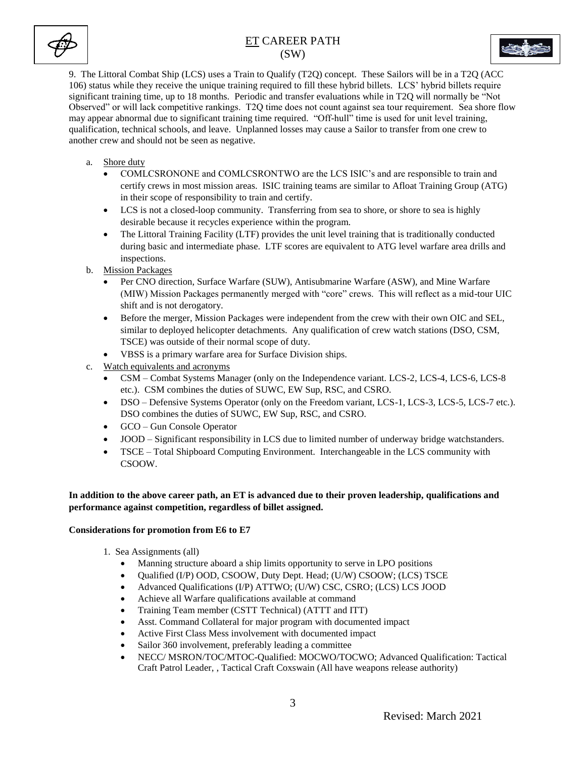



9. The Littoral Combat Ship (LCS) uses a Train to Qualify (T2Q) concept. These Sailors will be in a T2Q (ACC 106) status while they receive the unique training required to fill these hybrid billets. LCS' hybrid billets require significant training time, up to 18 months. Periodic and transfer evaluations while in T2Q will normally be "Not Observed" or will lack competitive rankings. T2Q time does not count against sea tour requirement. Sea shore flow may appear abnormal due to significant training time required. "Off-hull" time is used for unit level training, qualification, technical schools, and leave. Unplanned losses may cause a Sailor to transfer from one crew to another crew and should not be seen as negative.

- a. Shore duty
	- COMLCSRONONE and COMLCSRONTWO are the LCS ISIC's and are responsible to train and certify crews in most mission areas. ISIC training teams are similar to Afloat Training Group (ATG) in their scope of responsibility to train and certify.
	- LCS is not a closed-loop community. Transferring from sea to shore, or shore to sea is highly desirable because it recycles experience within the program.
	- The Littoral Training Facility (LTF) provides the unit level training that is traditionally conducted during basic and intermediate phase. LTF scores are equivalent to ATG level warfare area drills and inspections.
- b. Mission Packages
	- Per CNO direction, Surface Warfare (SUW), Antisubmarine Warfare (ASW), and Mine Warfare (MIW) Mission Packages permanently merged with "core" crews. This will reflect as a mid-tour UIC shift and is not derogatory.
	- Before the merger, Mission Packages were independent from the crew with their own OIC and SEL, similar to deployed helicopter detachments. Any qualification of crew watch stations (DSO, CSM, TSCE) was outside of their normal scope of duty.
	- VBSS is a primary warfare area for Surface Division ships.
- c. Watch equivalents and acronyms
	- CSM Combat Systems Manager (only on the Independence variant. LCS-2, LCS-4, LCS-6, LCS-8 etc.). CSM combines the duties of SUWC, EW Sup, RSC, and CSRO.
	- DSO Defensive Systems Operator (only on the Freedom variant, LCS-1, LCS-3, LCS-5, LCS-7 etc.). DSO combines the duties of SUWC, EW Sup, RSC, and CSRO.
	- GCO Gun Console Operator
	- JOOD Significant responsibility in LCS due to limited number of underway bridge watchstanders.
	- TSCE Total Shipboard Computing Environment. Interchangeable in the LCS community with CSOOW.

### **In addition to the above career path, an ET is advanced due to their proven leadership, qualifications and performance against competition, regardless of billet assigned.**

#### **Considerations for promotion from E6 to E7**

- 1. Sea Assignments (all)
	- Manning structure aboard a ship limits opportunity to serve in LPO positions
	- Qualified (I/P) OOD, CSOOW, Duty Dept. Head; (U/W) CSOOW; (LCS) TSCE
	- Advanced Qualifications (I/P) ATTWO; (U/W) CSC, CSRO; (LCS) LCS JOOD
	- Achieve all Warfare qualifications available at command
	- Training Team member (CSTT Technical) (ATTT and ITT)
	- Asst. Command Collateral for major program with documented impact
	- Active First Class Mess involvement with documented impact
	- Sailor 360 involvement, preferably leading a committee
	- NECC/ MSRON/TOC/MTOC-Qualified: MOCWO/TOCWO; Advanced Qualification: Tactical Craft Patrol Leader, , Tactical Craft Coxswain (All have weapons release authority)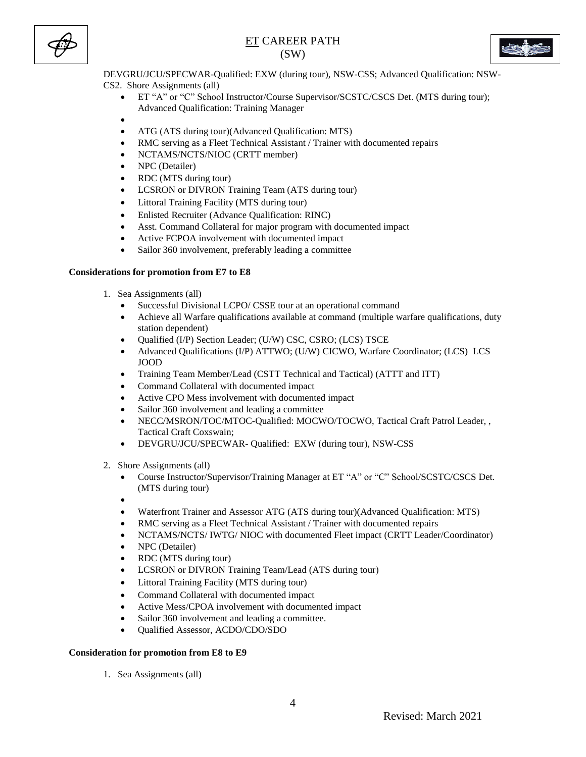



DEVGRU/JCU/SPECWAR-Qualified: EXW (during tour), NSW-CSS; Advanced Qualification: NSW-CS2. Shore Assignments (all)

- ET "A" or "C" School Instructor/Course Supervisor/SCSTC/CSCS Det. (MTS during tour); Advanced Qualification: Training Manager
- $\bullet$
- ATG (ATS during tour)(Advanced Qualification: MTS)
- RMC serving as a Fleet Technical Assistant / Trainer with documented repairs
- NCTAMS/NCTS/NIOC (CRTT member)
- NPC (Detailer)
- RDC (MTS during tour)
- LCSRON or DIVRON Training Team (ATS during tour)
- Littoral Training Facility (MTS during tour)
- Enlisted Recruiter (Advance Qualification: RINC)
- Asst. Command Collateral for major program with documented impact
- Active FCPOA involvement with documented impact
- Sailor 360 involvement, preferably leading a committee

#### **Considerations for promotion from E7 to E8**

- 1. Sea Assignments (all)
	- Successful Divisional LCPO/ CSSE tour at an operational command
	- Achieve all Warfare qualifications available at command (multiple warfare qualifications, duty station dependent)
	- Qualified (I/P) Section Leader; (U/W) CSC, CSRO; (LCS) TSCE
	- Advanced Qualifications (I/P) ATTWO; (U/W) CICWO, Warfare Coordinator; (LCS) LCS JOOD
	- Training Team Member/Lead (CSTT Technical and Tactical) (ATTT and ITT)
	- Command Collateral with documented impact
	- Active CPO Mess involvement with documented impact
	- Sailor 360 involvement and leading a committee
	- NECC/MSRON/TOC/MTOC-Qualified: MOCWO/TOCWO, Tactical Craft Patrol Leader, , Tactical Craft Coxswain;
	- DEVGRU/JCU/SPECWAR- Qualified: EXW (during tour), NSW-CSS
- 2. Shore Assignments (all)
	- Course Instructor/Supervisor/Training Manager at ET "A" or "C" School/SCSTC/CSCS Det. (MTS during tour)
	- $\bullet$
	- Waterfront Trainer and Assessor ATG (ATS during tour)(Advanced Qualification: MTS)
	- RMC serving as a Fleet Technical Assistant / Trainer with documented repairs
	- NCTAMS/NCTS/ IWTG/ NIOC with documented Fleet impact (CRTT Leader/Coordinator)
	- NPC (Detailer)
	- RDC (MTS during tour)
	- LCSRON or DIVRON Training Team/Lead (ATS during tour)
	- Littoral Training Facility (MTS during tour)
	- Command Collateral with documented impact
	- Active Mess/CPOA involvement with documented impact
	- Sailor 360 involvement and leading a committee.
	- Qualified Assessor, ACDO/CDO/SDO

#### **Consideration for promotion from E8 to E9**

1. Sea Assignments (all)